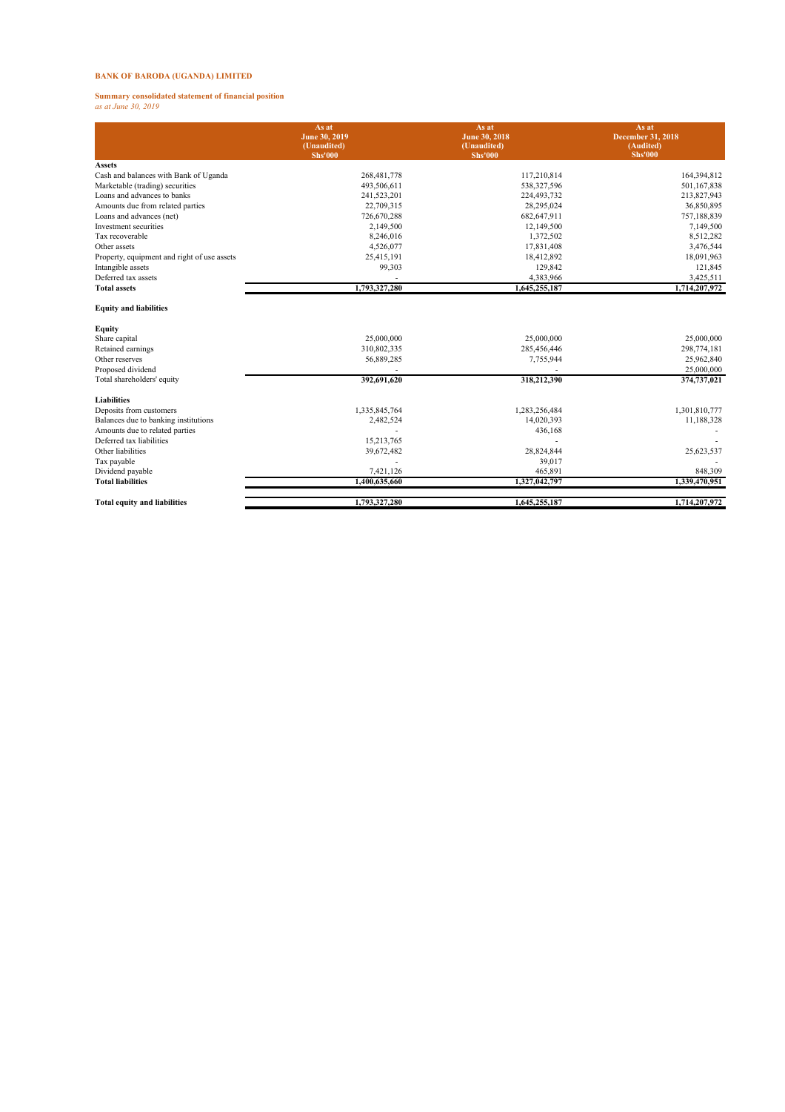## **BANK OF BARODA (UGANDA) LIMITED**

# **Summary consolidated statement of financial position** *as at June 30, 2019*

|                                                | As at<br>June 30, 2019<br>(Unaudited)<br><b>Shs'000</b> | As at<br><b>June 30, 2018</b><br>(Unaudited)<br><b>Shs'000</b> | As at<br><b>December 31, 2018</b><br>(Audited)<br><b>Shs'000</b> |
|------------------------------------------------|---------------------------------------------------------|----------------------------------------------------------------|------------------------------------------------------------------|
| <b>Assets</b>                                  |                                                         |                                                                |                                                                  |
| Cash and balances with Bank of Uganda          | 268,481,778                                             | 117,210,814                                                    | 164,394,812                                                      |
| Marketable (trading) securities                | 493,506,611                                             | 538,327,596                                                    | 501,167,838                                                      |
| Loans and advances to banks                    | 241,523,201                                             | 224,493,732                                                    | 213,827,943                                                      |
| Amounts due from related parties               | 22,709,315                                              | 28,295,024                                                     | 36,850,895                                                       |
| Loans and advances (net)                       | 726,670,288                                             | 682,647,911                                                    | 757,188,839                                                      |
| Investment securities                          | 2,149,500                                               | 12,149,500                                                     | 7,149,500                                                        |
| Tax recoverable                                | 8,246,016                                               | 1,372,502                                                      | 8,512,282                                                        |
| Other assets                                   | 4,526,077                                               | 17,831,408                                                     | 3,476,544                                                        |
| Property, equipment and right of use assets    | 25,415,191                                              | 18,412,892                                                     | 18,091,963                                                       |
| Intangible assets                              | 99,303                                                  | 129,842                                                        | 121,845                                                          |
| Deferred tax assets                            |                                                         | 4,383,966                                                      | 3,425,511                                                        |
| <b>Total assets</b>                            | 1,793,327,280                                           | 1,645,255,187                                                  | 1,714,207,972                                                    |
| <b>Equity and liabilities</b><br><b>Equity</b> |                                                         |                                                                |                                                                  |
| Share capital                                  | 25,000,000                                              | 25,000,000                                                     | 25,000,000                                                       |
| Retained earnings                              | 310,802,335                                             | 285,456,446                                                    | 298,774,181                                                      |
| Other reserves                                 | 56,889,285                                              | 7,755,944                                                      | 25,962,840                                                       |
| Proposed dividend                              |                                                         |                                                                | 25,000,000                                                       |
| Total shareholders' equity                     | 392,691,620                                             | 318,212,390                                                    | 374,737,021                                                      |
| <b>Liabilities</b>                             |                                                         |                                                                |                                                                  |
| Deposits from customers                        | 1,335,845,764                                           | 1,283,256,484                                                  | 1,301,810,777                                                    |
| Balances due to banking institutions           | 2,482,524                                               | 14,020,393                                                     | 11,188,328                                                       |
| Amounts due to related parties                 |                                                         | 436,168                                                        |                                                                  |
| Deferred tax liabilities                       | 15,213,765                                              |                                                                |                                                                  |
| Other liabilities                              | 39,672,482                                              | 28,824,844                                                     | 25,623,537                                                       |
| Tax payable                                    |                                                         | 39,017                                                         |                                                                  |
| Dividend payable                               | 7,421,126                                               | 465,891                                                        | 848,309                                                          |
| <b>Total liabilities</b>                       | 1,400,635,660                                           | 1,327,042,797                                                  | 1,339,470,951                                                    |

**Total equity and liabilities** 1,793,327,280 1,645,255,187 1,714,207,972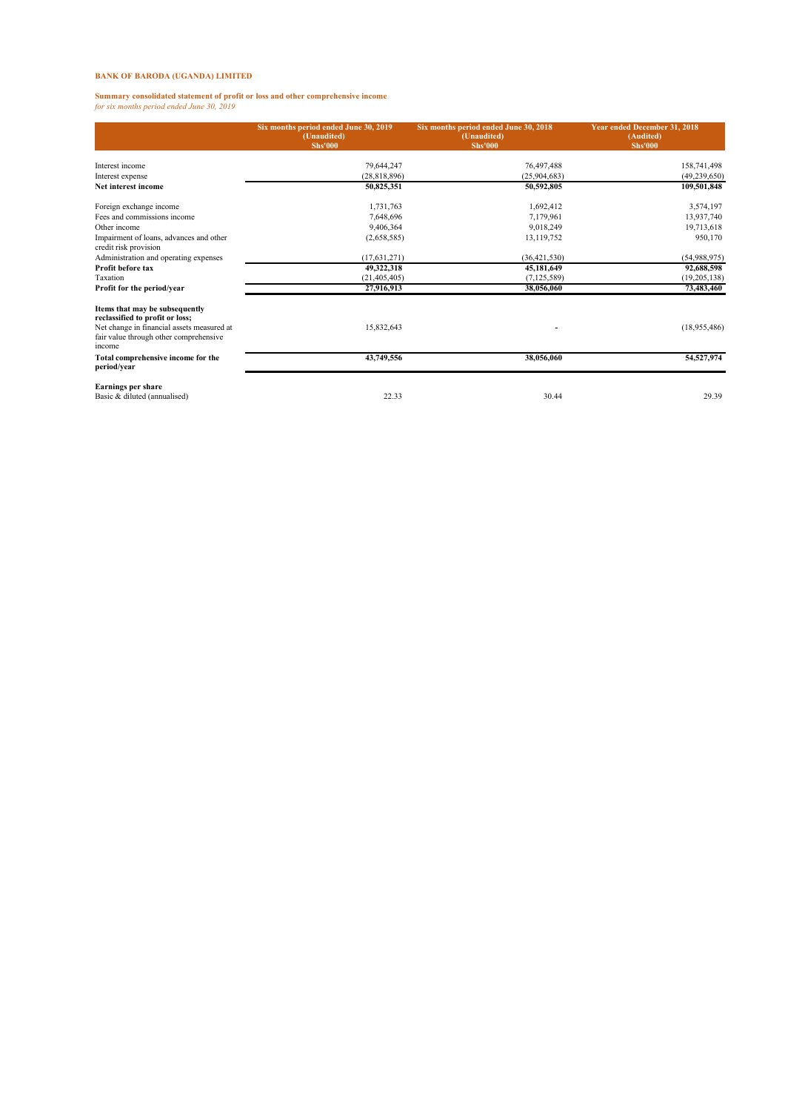## **BANK OF BARODA (UGANDA) LIMITED**

**Summary consolidated statement of profit or loss and other comprehensive income** *for six months period ended June 30, 2019*

|                                                                                                                                                                     | Six months period ended June 30, 2019<br>(Unaudited)<br><b>Shs'000</b> | Six months period ended June 30, 2018<br>(Unaudited)<br><b>Shs'000</b> | Year ended December 31, 2018<br>(Audited)<br><b>Shs'000</b> |  |
|---------------------------------------------------------------------------------------------------------------------------------------------------------------------|------------------------------------------------------------------------|------------------------------------------------------------------------|-------------------------------------------------------------|--|
| Interest income                                                                                                                                                     | 79,644,247                                                             | 76,497,488                                                             | 158,741,498                                                 |  |
| Interest expense                                                                                                                                                    | (28, 818, 896)                                                         | (25,904,683)                                                           | (49, 239, 650)                                              |  |
| Net interest income                                                                                                                                                 | 50,825,351                                                             | 50,592,805                                                             | 109,501,848                                                 |  |
| Foreign exchange income                                                                                                                                             | 1,731,763                                                              | 1,692,412                                                              | 3,574,197                                                   |  |
| Fees and commissions income                                                                                                                                         | 7,648,696                                                              | 7,179,961                                                              | 13,937,740                                                  |  |
| Other income                                                                                                                                                        | 9,406,364                                                              | 9.018.249                                                              | 19,713,618                                                  |  |
| Impairment of loans, advances and other<br>credit risk provision                                                                                                    | (2,658,585)                                                            | 13,119,752                                                             | 950,170                                                     |  |
| Administration and operating expenses                                                                                                                               | (17, 631, 271)                                                         | (36, 421, 530)                                                         | (54,988,975)                                                |  |
| Profit before tax                                                                                                                                                   | 49,322,318                                                             | 45,181,649                                                             | 92,688,598                                                  |  |
| Taxation                                                                                                                                                            | (21, 405, 405)                                                         | (7, 125, 589)                                                          | (19, 205, 138)                                              |  |
| Profit for the period/year                                                                                                                                          | 27,916,913                                                             | 38,056,060                                                             | 73,483,460                                                  |  |
| Items that may be subsequently<br>reclassified to profit or loss;<br>Net change in financial assets measured at<br>fair value through other comprehensive<br>income | 15,832,643                                                             |                                                                        | (18, 955, 486)                                              |  |
| Total comprehensive income for the<br>period/year                                                                                                                   | 43,749,556                                                             | 38,056,060                                                             | 54,527,974                                                  |  |
| <b>Earnings per share</b><br>Basic & diluted (annualised)                                                                                                           | 22.33                                                                  | 30.44                                                                  | 29.39                                                       |  |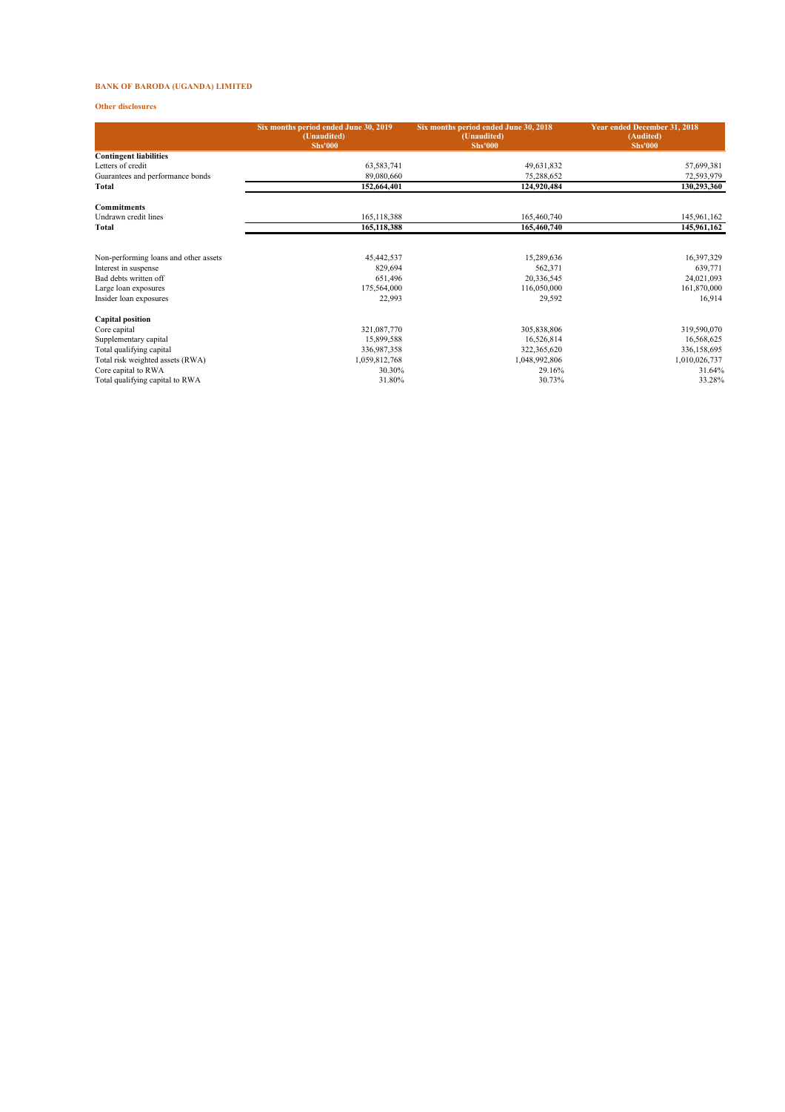## **BANK OF BARODA (UGANDA) LIMITED**

### **Other disclosures**

|                                       | Six months period ended June 30, 2019<br>(Unaudited)<br><b>Shs'000</b> | Six months period ended June 30, 2018<br>(Unaudited)<br><b>Shs'000</b> | Year ended December 31, 2018<br>(Audited)<br><b>Shs'000</b> |  |
|---------------------------------------|------------------------------------------------------------------------|------------------------------------------------------------------------|-------------------------------------------------------------|--|
| <b>Contingent liabilities</b>         |                                                                        |                                                                        |                                                             |  |
| Letters of credit                     | 63,583,741                                                             | 49,631,832                                                             | 57,699,381                                                  |  |
| Guarantees and performance bonds      | 89,080,660                                                             | 75,288,652                                                             | 72,593,979                                                  |  |
| Total                                 | 152,664,401                                                            | 124,920,484                                                            | 130,293,360                                                 |  |
| <b>Commitments</b>                    |                                                                        |                                                                        |                                                             |  |
| Undrawn credit lines                  | 165,118,388                                                            | 165,460,740                                                            | 145,961,162                                                 |  |
| Total                                 | 165,118,388                                                            | 165,460,740                                                            | 145,961,162                                                 |  |
|                                       |                                                                        |                                                                        |                                                             |  |
| Non-performing loans and other assets | 45,442,537                                                             | 15,289,636                                                             | 16,397,329                                                  |  |
| Interest in suspense                  | 829,694                                                                | 562,371                                                                | 639,771                                                     |  |
| Bad debts written off                 | 651,496                                                                | 20,336,545                                                             | 24,021,093                                                  |  |
| Large loan exposures                  | 175,564,000                                                            | 116,050,000                                                            | 161,870,000                                                 |  |
| Insider loan exposures                | 22,993                                                                 | 29,592                                                                 | 16,914                                                      |  |
| <b>Capital position</b>               |                                                                        |                                                                        |                                                             |  |
| Core capital                          | 321,087,770                                                            | 305,838,806                                                            | 319,590,070                                                 |  |
| Supplementary capital                 | 15,899,588                                                             | 16,526,814                                                             | 16,568,625                                                  |  |
| Total qualifying capital              | 336,987,358                                                            | 322,365,620                                                            | 336,158,695                                                 |  |
| Total risk weighted assets (RWA)      | 1,059,812,768                                                          | 1,048,992,806                                                          | 1,010,026,737                                               |  |
| Core capital to RWA                   | 30.30%                                                                 | 29.16%                                                                 | 31.64%                                                      |  |
| Total qualifying capital to RWA       | 31.80%                                                                 | 30.73%                                                                 | 33.28%                                                      |  |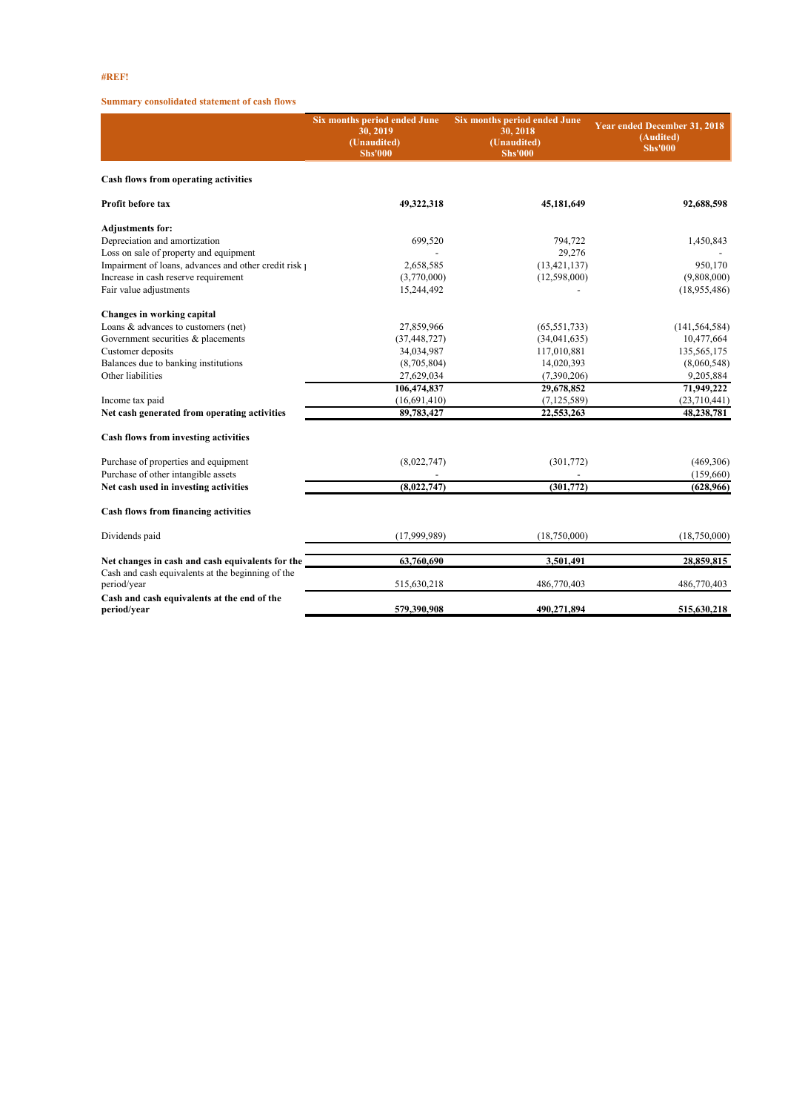## **#REF!**

## **Summary consolidated statement of cash flows**

|                                                                  | Six months period ended June<br>30, 2019<br>(Unaudited)<br><b>Shs'000</b> | Six months period ended June<br>30, 2018<br>(Unaudited)<br><b>Shs'000</b> | Year ended December 31, 2018<br>(Audited)<br><b>Shs'000</b> |  |
|------------------------------------------------------------------|---------------------------------------------------------------------------|---------------------------------------------------------------------------|-------------------------------------------------------------|--|
| Cash flows from operating activities                             |                                                                           |                                                                           |                                                             |  |
| Profit before tax                                                | 49,322,318                                                                | 45,181,649                                                                | 92,688,598                                                  |  |
| <b>Adjustments for:</b>                                          |                                                                           |                                                                           |                                                             |  |
| Depreciation and amortization                                    | 699,520                                                                   | 794,722                                                                   | 1,450,843                                                   |  |
| Loss on sale of property and equipment                           |                                                                           | 29,276                                                                    |                                                             |  |
| Impairment of loans, advances and other credit risk              | 2,658,585                                                                 | (13, 421, 137)                                                            | 950,170                                                     |  |
| Increase in cash reserve requirement                             | (3,770,000)                                                               | (12,598,000)                                                              | (9,808,000)                                                 |  |
| Fair value adjustments                                           | 15,244,492                                                                |                                                                           | (18,955,486)                                                |  |
| Changes in working capital                                       |                                                                           |                                                                           |                                                             |  |
| Loans & advances to customers (net)                              | 27,859,966                                                                | (65, 551, 733)                                                            | (141, 564, 584)                                             |  |
| Government securities & placements                               | (37, 448, 727)                                                            | (34,041,635)                                                              | 10,477,664                                                  |  |
| Customer deposits                                                | 34,034,987                                                                | 117,010,881                                                               | 135,565,175                                                 |  |
| Balances due to banking institutions                             | (8,705,804)                                                               | 14,020,393                                                                | (8,060,548)                                                 |  |
| Other liabilities                                                | 27,629,034                                                                | (7,390,206)                                                               | 9,205,884                                                   |  |
|                                                                  | 106,474,837                                                               | 29,678,852                                                                | 71,949,222                                                  |  |
| Income tax paid                                                  | (16,691,410)                                                              | (7, 125, 589)                                                             | (23,710,441)                                                |  |
| Net cash generated from operating activities                     | 89,783,427                                                                | 22,553,263                                                                | 48,238,781                                                  |  |
| Cash flows from investing activities                             |                                                                           |                                                                           |                                                             |  |
| Purchase of properties and equipment                             | (8,022,747)                                                               | (301,772)                                                                 | (469, 306)                                                  |  |
| Purchase of other intangible assets                              |                                                                           |                                                                           | (159,660)                                                   |  |
| Net cash used in investing activities                            | (8,022,747)                                                               | (301,772)                                                                 | (628, 966)                                                  |  |
| <b>Cash flows from financing activities</b>                      |                                                                           |                                                                           |                                                             |  |
| Dividends paid                                                   | (17,999,989)                                                              | (18,750,000)                                                              | (18,750,000)                                                |  |
| Net changes in cash and cash equivalents for the                 | 63,760,690                                                                | 3,501,491                                                                 | 28,859,815                                                  |  |
| Cash and cash equivalents at the beginning of the<br>period/year | 515,630,218                                                               | 486,770,403                                                               | 486,770,403                                                 |  |
| Cash and cash equivalents at the end of the<br>period/year       | 579,390,908                                                               | 490,271,894                                                               | 515,630,218                                                 |  |